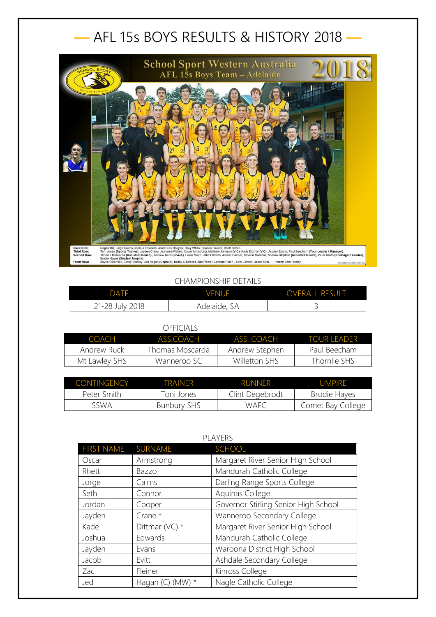## — AFL 15s BOYS RESULTS & HISTORY 2018 —



## CHAMPIONSHIP DETAILS

| DATF            | <b>VENUE</b> | <b>OVERALL RESULT</b> |
|-----------------|--------------|-----------------------|
| 21-28 July 2018 | Adelaide, SA |                       |

## OFFICIALS

| COACH         | ASS COACH        | ASS COACH      | <b>TOUR FADER</b> |
|---------------|------------------|----------------|-------------------|
| Andrew Ruck   | Thomas Moscarda. | Andrew Stephen | Paul Beecham      |
| Mt Lawley SHS | Wanneroo SC      | Willetton SHS  | Thornlie SHS      |

| CONTINGENCY | TRAINFR            | <b>RUNNER</b>   | UMPIRE            |
|-------------|--------------------|-----------------|-------------------|
| Peter Smith | Toni Jones         | Clint Degebrodt | Brodie Hayes      |
| sswa        | <b>Bunbury SHS</b> | WAFC            | Comet Bay College |

| <b>PLAYERS</b>    |                     |                                      |
|-------------------|---------------------|--------------------------------------|
| <b>FIRST NAME</b> | SURNAME             | <b>SCHOOL</b>                        |
| Oscar             | Armstrong           | Margaret River Senior High School    |
| Rhett             | Bazzo               | Mandurah Catholic College            |
| Jorge             | Cairns              | Darling Range Sports College         |
| Seth              | Connor              | Aquinas College                      |
| Jordan            | Cooper              | Governor Stirling Senior High School |
| Jayden            | Crane *             | Wanneroo Secondary College           |
| Kade              | Dittmar (VC) $*$    | Margaret River Senior High School    |
| Joshua            | Edwards             | Mandurah Catholic College            |
| Jayden            | Evans               | Waroona District High School         |
| Jacob             | Evitt               | Ashdale Secondary College            |
| Zac               | Fleiner             | Kinross College                      |
| Jed               | Hagan $(C)$<br>(MW) | Nagle Catholic College               |